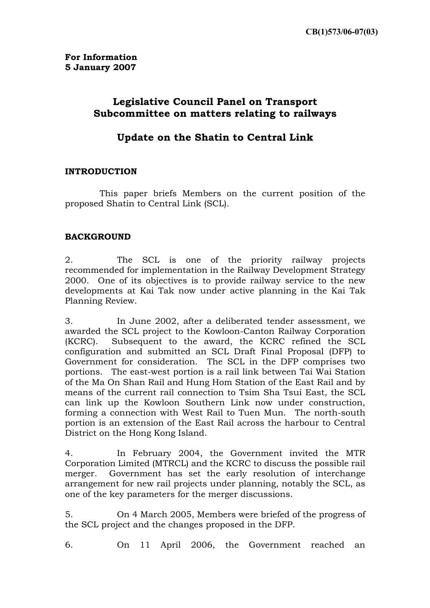## **Legislative Council Panel on Transport Subcommittee on matters relating to railways**

# **Update on the Shatin to Central Link**

### **INTRODUCTION**

This paper briefs Members on the current position of the proposed Shatin to Central Link (SCL).

## **BACKGROUND**

2. The SCL is one of the priority railway projects recommended for implementation in the Railway Development Strategy 2000. One of its objectives is to provide railway service to the new developments at Kai Tak now under active planning in the Kai Tak Planning Review.

3. In June 2002, after a deliberated tender assessment, we awarded the SCL project to the Kowloon-Canton Railway Corporation (KCRC). Subsequent to the award, the KCRC refined the SCL configuration and submitted an SCL Draft Final Proposal (DFP) to Government for consideration. The SCL in the DFP comprises two portions. The east-west portion is a rail link between Tai Wai Station of the Ma On Shan Rail and Hung Hom Station of the East Rail and by means of the current rail connection to Tsim Sha Tsui East, the SCL can link up the Kowloon Southern Link now under construction, forming a connection with West Rail to Tuen Mun. The north-south portion is an extension of the East Rail across the harbour to Central District on the Hong Kong Island.

4. In February 2004, the Government invited the MTR Corporation Limited (MTRCL) and the KCRC to discuss the possible rail merger. Government has set the early resolution of interchange arrangement for new rail projects under planning, notably the SCL, as one of the key parameters for the merger discussions.

5. On 4 March 2005, Members were briefed of the progress of the SCL project and the changes proposed in the DFP.

6. On 11 April 2006, the Government reached an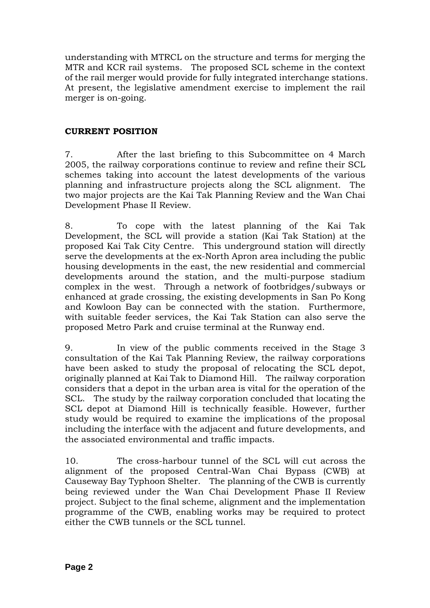understanding with MTRCL on the structure and terms for merging the MTR and KCR rail systems. The proposed SCL scheme in the context of the rail merger would provide for fully integrated interchange stations. At present, the legislative amendment exercise to implement the rail merger is on-going.

### **CURRENT POSITION**

7. After the last briefing to this Subcommittee on 4 March 2005, the railway corporations continue to review and refine their SCL schemes taking into account the latest developments of the various planning and infrastructure projects along the SCL alignment. The two major projects are the Kai Tak Planning Review and the Wan Chai Development Phase II Review.

8. To cope with the latest planning of the Kai Tak Development, the SCL will provide a station (Kai Tak Station) at the proposed Kai Tak City Centre. This underground station will directly serve the developments at the ex-North Apron area including the public housing developments in the east, the new residential and commercial developments around the station, and the multi-purpose stadium complex in the west. Through a network of footbridges/subways or enhanced at grade crossing, the existing developments in San Po Kong and Kowloon Bay can be connected with the station. Furthermore, with suitable feeder services, the Kai Tak Station can also serve the proposed Metro Park and cruise terminal at the Runway end.

9. In view of the public comments received in the Stage 3 consultation of the Kai Tak Planning Review, the railway corporations have been asked to study the proposal of relocating the SCL depot, originally planned at Kai Tak to Diamond Hill. The railway corporation considers that a depot in the urban area is vital for the operation of the SCL. The study by the railway corporation concluded that locating the SCL depot at Diamond Hill is technically feasible. However, further study would be required to examine the implications of the proposal including the interface with the adjacent and future developments, and the associated environmental and traffic impacts.

10. The cross-harbour tunnel of the SCL will cut across the alignment of the proposed Central-Wan Chai Bypass (CWB) at Causeway Bay Typhoon Shelter. The planning of the CWB is currently being reviewed under the Wan Chai Development Phase II Review project. Subject to the final scheme, alignment and the implementation programme of the CWB, enabling works may be required to protect either the CWB tunnels or the SCL tunnel.